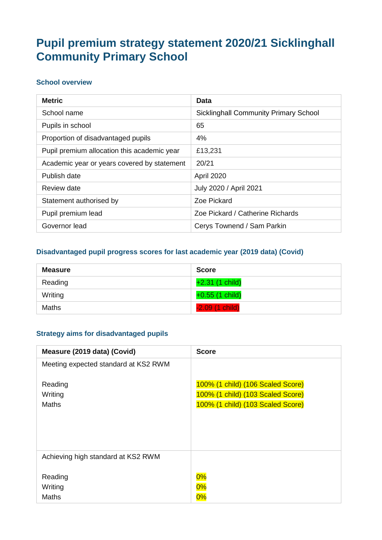# **Pupil premium strategy statement 2020/21 Sicklinghall Community Primary School**

#### **School overview**

| <b>Metric</b>                               | Data                                         |
|---------------------------------------------|----------------------------------------------|
| School name                                 | <b>Sicklinghall Community Primary School</b> |
| Pupils in school                            | 65                                           |
| Proportion of disadvantaged pupils          | 4%                                           |
| Pupil premium allocation this academic year | £13,231                                      |
| Academic year or years covered by statement | 20/21                                        |
| Publish date                                | April 2020                                   |
| Review date                                 | July 2020 / April 2021                       |
| Statement authorised by                     | Zoe Pickard                                  |
| Pupil premium lead                          | Zoe Pickard / Catherine Richards             |
| Governor lead                               | Cerys Townend / Sam Parkin                   |

#### **Disadvantaged pupil progress scores for last academic year (2019 data) (Covid)**

| Measure | <b>Score</b>      |
|---------|-------------------|
| Reading | $+2.31(1)$ child) |
| Writing | $+0.55$ (1 child) |
| Maths   | $-2.09(1)$ child) |

#### **Strategy aims for disadvantaged pupils**

| Measure (2019 data) (Covid)          | <b>Score</b>                      |
|--------------------------------------|-----------------------------------|
| Meeting expected standard at KS2 RWM |                                   |
| Reading                              | 100% (1 child) (106 Scaled Score) |
| Writing                              | 100% (1 child) (103 Scaled Score) |
| <b>Maths</b>                         | 100% (1 child) (103 Scaled Score) |
|                                      |                                   |
| Achieving high standard at KS2 RWM   |                                   |
| Reading                              | 0%                                |
| Writing                              | $0\%$                             |
| <b>Maths</b>                         | 0%                                |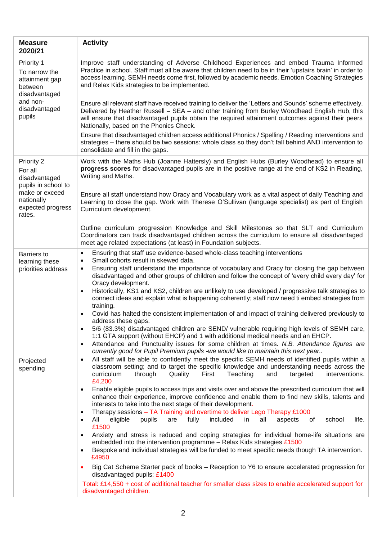| <b>Measure</b><br>2020/21                                                             | <b>Activity</b>                                                                                                                                                                                                                                                                                                                                                                                                                                                                                                                                                                                                                                                                                                                                                                                                                                                                                                                                                                                                                                                                                                                                             |
|---------------------------------------------------------------------------------------|-------------------------------------------------------------------------------------------------------------------------------------------------------------------------------------------------------------------------------------------------------------------------------------------------------------------------------------------------------------------------------------------------------------------------------------------------------------------------------------------------------------------------------------------------------------------------------------------------------------------------------------------------------------------------------------------------------------------------------------------------------------------------------------------------------------------------------------------------------------------------------------------------------------------------------------------------------------------------------------------------------------------------------------------------------------------------------------------------------------------------------------------------------------|
| Priority 1<br>To narrow the<br>attainment gap<br>between<br>disadvantaged<br>and non- | Improve staff understanding of Adverse Childhood Experiences and embed Trauma Informed<br>Practice in school. Staff must all be aware that children need to be in their 'upstairs brain' in order to<br>access learning. SEMH needs come first, followed by academic needs. Emotion Coaching Strategies<br>and Relax Kids strategies to be implemented.<br>Ensure all relevant staff have received training to deliver the 'Letters and Sounds' scheme effectively.                                                                                                                                                                                                                                                                                                                                                                                                                                                                                                                                                                                                                                                                                         |
| disadvantaged<br>pupils                                                               | Delivered by Heather Russell - SEA - and other training from Burley Woodhead English Hub, this<br>will ensure that disadvantaged pupils obtain the required attainment outcomes against their peers<br>Nationally, based on the Phonics Check.                                                                                                                                                                                                                                                                                                                                                                                                                                                                                                                                                                                                                                                                                                                                                                                                                                                                                                              |
|                                                                                       | Ensure that disadvantaged children access additional Phonics / Spelling / Reading interventions and<br>strategies - there should be two sessions: whole class so they don't fall behind AND intervention to<br>consolidate and fill in the gaps.                                                                                                                                                                                                                                                                                                                                                                                                                                                                                                                                                                                                                                                                                                                                                                                                                                                                                                            |
| Priority 2<br>For all<br>disadvantaged<br>pupils in school to                         | Work with the Maths Hub (Joanne Hattersly) and English Hubs (Burley Woodhead) to ensure all<br>progress scores for disadvantaged pupils are in the positive range at the end of KS2 in Reading,<br>Writing and Maths.                                                                                                                                                                                                                                                                                                                                                                                                                                                                                                                                                                                                                                                                                                                                                                                                                                                                                                                                       |
| make or exceed<br>nationally<br>expected progress<br>rates.                           | Ensure all staff understand how Oracy and Vocabulary work as a vital aspect of daily Teaching and<br>Learning to close the gap. Work with Therese O'Sullivan (language specialist) as part of English<br>Curriculum development.                                                                                                                                                                                                                                                                                                                                                                                                                                                                                                                                                                                                                                                                                                                                                                                                                                                                                                                            |
|                                                                                       | Outline curriculum progression Knowledge and Skill Milestones so that SLT and Curriculum<br>Coordinators can track disadvantaged children across the curriculum to ensure all disadvantaged<br>meet age related expectations (at least) in Foundation subjects.                                                                                                                                                                                                                                                                                                                                                                                                                                                                                                                                                                                                                                                                                                                                                                                                                                                                                             |
| <b>Barriers</b> to<br>learning these<br>priorities address                            | Ensuring that staff use evidence-based whole-class teaching interventions<br>$\bullet$<br>Small cohorts result in skewed data.<br>$\bullet$<br>Ensuring staff understand the importance of vocabulary and Oracy for closing the gap between<br>$\bullet$<br>disadvantaged and other groups of children and follow the concept of 'every child every day' for<br>Oracy development.<br>Historically, KS1 and KS2, children are unlikely to use developed / progressive talk strategies to<br>$\bullet$<br>connect ideas and explain what is happening coherently; staff now need ti embed strategies from<br>training.<br>Covid has halted the consistent implementation of and impact of training delivered previously to<br>$\bullet$<br>address these gaps.<br>5/6 (83.3%) disadvantaged children are SEND/ vulnerable requiring high levels of SEMH care,<br>$\bullet$<br>1:1 GTA support (without EHCP) and 1 with additional medical needs and an EHCP.<br>Attendance and Punctuality issues for some children at times. N.B. Attendance figures are<br>$\bullet$<br>currently good for Pupil Premium pupils -we would like to maintain this next year |
| Projected<br>spending                                                                 | All staff will be able to confidently meet the specific SEMH needs of identified pupils within a<br>$\bullet$<br>classroom setting; and to target the specific knowledge and understanding needs across the<br>curriculum<br>through<br>Quality<br>First<br>Teaching<br>targeted<br>interventions.<br>and<br>£4,200<br>Enable eligible pupils to access trips and visits over and above the prescribed curriculum that will<br>$\bullet$<br>enhance their experience, improve confidence and enable them to find new skills, talents and<br>interests to take into the next stage of their development.<br>Therapy sessions - TA Training and overtime to deliver Lego Therapy £1000<br>$\bullet$                                                                                                                                                                                                                                                                                                                                                                                                                                                           |
|                                                                                       | eligible<br>included<br>All<br>pupils<br>fully<br>all<br>school<br>life.<br>are<br>in<br>aspects<br>0f<br>$\bullet$<br>£1500<br>Anxiety and stress is reduced and coping strategies for individual home-life situations are<br>embedded into the intervention programme - Relax Kids strategies £1500<br>Bespoke and individual strategies will be funded to meet specific needs though TA intervention.<br>$\bullet$<br>£4950                                                                                                                                                                                                                                                                                                                                                                                                                                                                                                                                                                                                                                                                                                                              |
|                                                                                       | Big Cat Scheme Starter pack of books – Reception to Y6 to ensure accelerated progression for<br>disadvantaged pupils: £1400<br>Total: £14,550 + cost of additional teacher for smaller class sizes to enable accelerated support for<br>disadvantaged children.                                                                                                                                                                                                                                                                                                                                                                                                                                                                                                                                                                                                                                                                                                                                                                                                                                                                                             |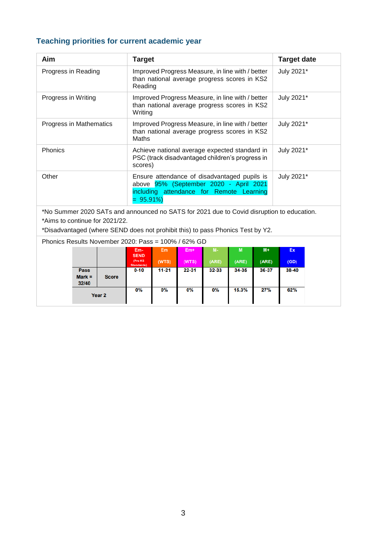# **Teaching priorities for current academic year**

| Aim                                                                                                                                                                                                           |                                  |                   | <b>Target</b>                                                                                                                                      |                                                                                                             |              |                    |            |               | <b>Target date</b> |  |
|---------------------------------------------------------------------------------------------------------------------------------------------------------------------------------------------------------------|----------------------------------|-------------------|----------------------------------------------------------------------------------------------------------------------------------------------------|-------------------------------------------------------------------------------------------------------------|--------------|--------------------|------------|---------------|--------------------|--|
| Progress in Reading                                                                                                                                                                                           |                                  |                   |                                                                                                                                                    | Improved Progress Measure, in line with / better<br>than national average progress scores in KS2<br>Reading |              |                    |            |               | July 2021*         |  |
| Progress in Writing                                                                                                                                                                                           |                                  |                   |                                                                                                                                                    | Improved Progress Measure, in line with / better<br>than national average progress scores in KS2<br>Writing |              |                    |            |               | July 2021*         |  |
| Progress in Mathematics                                                                                                                                                                                       |                                  |                   | Maths                                                                                                                                              | Improved Progress Measure, in line with / better<br>than national average progress scores in KS2            |              |                    |            |               | July 2021*         |  |
| Phonics                                                                                                                                                                                                       |                                  |                   |                                                                                                                                                    | Achieve national average expected standard in<br>PSC (track disadvantaged children's progress in<br>scores) |              |                    |            |               | July 2021*         |  |
| Other                                                                                                                                                                                                         |                                  |                   | Ensure attendance of disadvantaged pupils is<br>above 95% (September 2020 - April 2021<br>including attendance for Remote Learning<br>$= 95.91\%)$ |                                                                                                             |              |                    |            |               | July 2021*         |  |
| *No Summer 2020 SATs and announced no SATS for 2021 due to Covid disruption to education.<br>*Aims to continue for 2021/22.<br>*Disadvantaged (where SEND does not prohibit this) to pass Phonics Test by Y2. |                                  |                   |                                                                                                                                                    |                                                                                                             |              |                    |            |               |                    |  |
| Phonics Results November 2020: Pass = 100% / 62% GD                                                                                                                                                           |                                  |                   |                                                                                                                                                    |                                                                                                             |              |                    |            |               |                    |  |
|                                                                                                                                                                                                               |                                  |                   | Em-<br><b>SEND</b><br>(Pre KS<br>Standards)                                                                                                        | Em<br>(WTS)                                                                                                 | Em+<br>(WTS) | <b>M-</b><br>(ARE) | M<br>(ARE) | $M+$<br>(ARE) | Ex<br>(GD)         |  |
|                                                                                                                                                                                                               | <b>Pass</b><br>$Mark =$<br>32/40 | <b>Score</b>      | 0-10                                                                                                                                               | $11 - 21$                                                                                                   | 22-31        | 32-33              | 34-35      | 36-37         | 38-40              |  |
|                                                                                                                                                                                                               |                                  | Year <sub>2</sub> | 0%                                                                                                                                                 | 0%                                                                                                          | 0%           | 0%                 | 15.3%      | 27%           | 62%                |  |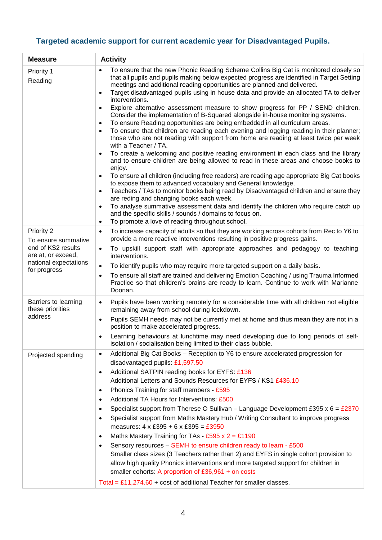# **Targeted academic support for current academic year for Disadvantaged Pupils.**

| <b>Measure</b>                                                                                                         | <b>Activity</b>                                                                                                                                                                                                                                                                                                                                                                                                                                                                                                                                                                                                                                                                                                                                                                                                                                                                                                                                                                                                                                                                                                                                                                                                                                                                                                                                                                                                                                                                                                                                                                                                                                  |  |  |  |
|------------------------------------------------------------------------------------------------------------------------|--------------------------------------------------------------------------------------------------------------------------------------------------------------------------------------------------------------------------------------------------------------------------------------------------------------------------------------------------------------------------------------------------------------------------------------------------------------------------------------------------------------------------------------------------------------------------------------------------------------------------------------------------------------------------------------------------------------------------------------------------------------------------------------------------------------------------------------------------------------------------------------------------------------------------------------------------------------------------------------------------------------------------------------------------------------------------------------------------------------------------------------------------------------------------------------------------------------------------------------------------------------------------------------------------------------------------------------------------------------------------------------------------------------------------------------------------------------------------------------------------------------------------------------------------------------------------------------------------------------------------------------------------|--|--|--|
| Priority 1<br>Reading                                                                                                  | To ensure that the new Phonic Reading Scheme Collins Big Cat is monitored closely so<br>$\bullet$<br>that all pupils and pupils making below expected progress are identified in Target Setting<br>meetings and additional reading opportunities are planned and delivered.<br>Target disadvantaged pupils using in house data and provide an allocated TA to deliver<br>$\bullet$<br>interventions.<br>Explore alternative assessment measure to show progress for PP / SEND children.<br>$\bullet$<br>Consider the implementation of B-Squared alongside in-house monitoring systems.<br>To ensure Reading opportunities are being embedded in all curriculum areas.<br>$\bullet$<br>To ensure that children are reading each evening and logging reading in their planner;<br>those who are not reading with support from home are reading at least twice per week<br>with a Teacher / TA.<br>To create a welcoming and positive reading environment in each class and the library<br>and to ensure children are being allowed to read in these areas and choose books to<br>enjoy.<br>To ensure all children (including free readers) are reading age appropriate Big Cat books<br>$\bullet$<br>to expose them to advanced vocabulary and General knowledge.<br>Teachers / TAs to monitor books being read by Disadvantaged children and ensure they<br>$\bullet$<br>are reding and changing books each week.<br>To analyse summative assessment data and identify the children who require catch up<br>$\bullet$<br>and the specific skills / sounds / domains to focus on.<br>To promote a love of reading throughout school.<br>$\bullet$ |  |  |  |
| Priority 2<br>To ensure summative<br>end of KS2 results<br>are at, or exceed,<br>national expectations<br>for progress | To increase capacity of adults so that they are working across cohorts from Rec to Y6 to<br>$\bullet$<br>provide a more reactive interventions resulting in positive progress gains.<br>To upskill support staff with appropriate approaches and pedagogy to teaching<br>$\bullet$<br>interventions.<br>To identify pupils who may require more targeted support on a daily basis.<br>$\bullet$<br>To ensure all staff are trained and delivering Emotion Coaching / using Trauma Informed<br>$\bullet$<br>Practice so that children's brains are ready to learn. Continue to work with Marianne<br>Doonan.                                                                                                                                                                                                                                                                                                                                                                                                                                                                                                                                                                                                                                                                                                                                                                                                                                                                                                                                                                                                                                      |  |  |  |
| Barriers to learning<br>these priorities<br>address                                                                    | Pupils have been working remotely for a considerable time with all children not eligible<br>$\bullet$<br>remaining away from school during lockdown.<br>Pupils SEMH needs may not be currently met at home and thus mean they are not in a<br>$\bullet$<br>position to make accelerated progress.<br>Learning behaviours at lunchtime may need developing due to long periods of self-<br>$\bullet$<br>isolation / socialisation being limited to their class bubble.                                                                                                                                                                                                                                                                                                                                                                                                                                                                                                                                                                                                                                                                                                                                                                                                                                                                                                                                                                                                                                                                                                                                                                            |  |  |  |
| Projected spending                                                                                                     | Additional Big Cat Books - Reception to Y6 to ensure accelerated progression for<br>$\bullet$<br>disadvantaged pupils: £1,597.50<br>Additional SATPIN reading books for EYFS: £136<br>$\bullet$<br>Additional Letters and Sounds Resources for EYFS / KS1 £436.10<br>Phonics Training for staff members - £595<br>$\bullet$<br>Additional TA Hours for Interventions: £500<br>$\bullet$<br>Specialist support from Therese O Sullivan – Language Development £395 x 6 = £2370<br>$\bullet$<br>Specialist support from Maths Mastery Hub / Writing Consultant to improve progress<br>$\bullet$<br>measures: $4 \times £395 + 6 \times £395 = £3950$<br>Maths Mastery Training for TAs - £595 x $2 = £1190$<br>$\bullet$<br>Sensory resources - SEMH to ensure children ready to learn - £500<br>$\bullet$<br>Smaller class sizes (3 Teachers rather than 2) and EYFS in single cohort provision to<br>allow high quality Phonics interventions and more targeted support for children in<br>smaller cohorts: A proportion of £36,961 + on costs<br>Total = £11,274.60 + cost of additional Teacher for smaller classes.                                                                                                                                                                                                                                                                                                                                                                                                                                                                                                                           |  |  |  |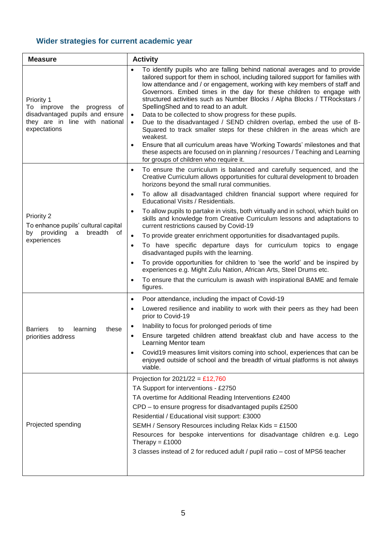# **Wider strategies for current academic year**

| <b>Measure</b>                                                                                                                         | <b>Activity</b>                                                                                                                                                                                                                                                                                                                                                                                                                                                                                                                                                                                                                                                                                                                                                                                                                                                                                                        |  |  |
|----------------------------------------------------------------------------------------------------------------------------------------|------------------------------------------------------------------------------------------------------------------------------------------------------------------------------------------------------------------------------------------------------------------------------------------------------------------------------------------------------------------------------------------------------------------------------------------------------------------------------------------------------------------------------------------------------------------------------------------------------------------------------------------------------------------------------------------------------------------------------------------------------------------------------------------------------------------------------------------------------------------------------------------------------------------------|--|--|
| Priority 1<br>To improve<br>progress<br>the<br>of<br>disadvantaged pupils and ensure<br>they are in line with national<br>expectations | To identify pupils who are falling behind national averages and to provide<br>$\bullet$<br>tailored support for them in school, including tailored support for families with<br>low attendance and / or engagement, working with key members of staff and<br>Governors. Embed times in the day for these children to engage with<br>structured activities such as Number Blocks / Alpha Blocks / TTRockstars /<br>SpellingShed and to read to an adult.<br>Data to be collected to show progress for these pupils.<br>$\bullet$<br>Due to the disadvantaged / SEND children overlap, embed the use of B-<br>$\bullet$<br>Squared to track smaller steps for these children in the areas which are<br>weakest.<br>Ensure that all curriculum areas have 'Working Towards' milestones and that<br>these aspects are focused on in planning / resources / Teaching and Learning<br>for groups of children who require it. |  |  |
|                                                                                                                                        | To ensure the curriculum is balanced and carefully sequenced, and the<br>$\bullet$<br>Creative Curriculum allows opportunities for cultural development to broaden<br>horizons beyond the small rural communities.<br>To allow all disadvantaged children financial support where required for<br>$\bullet$<br>Educational Visits / Residentials.                                                                                                                                                                                                                                                                                                                                                                                                                                                                                                                                                                      |  |  |
| Priority 2<br>To enhance pupils' cultural capital                                                                                      | To allow pupils to partake in visits, both virtually and in school, which build on<br>$\bullet$<br>skills and knowledge from Creative Curriculum lessons and adaptations to<br>current restrictions caused by Covid-19                                                                                                                                                                                                                                                                                                                                                                                                                                                                                                                                                                                                                                                                                                 |  |  |
| breadth<br>by providing<br>a<br>of<br>experiences                                                                                      | To provide greater enrichment opportunities for disadvantaged pupils.<br>$\bullet$                                                                                                                                                                                                                                                                                                                                                                                                                                                                                                                                                                                                                                                                                                                                                                                                                                     |  |  |
|                                                                                                                                        | To have specific departure days for curriculum topics to engage<br>$\bullet$<br>disadvantaged pupils with the learning.                                                                                                                                                                                                                                                                                                                                                                                                                                                                                                                                                                                                                                                                                                                                                                                                |  |  |
|                                                                                                                                        | To provide opportunities for children to 'see the world' and be inspired by<br>$\bullet$<br>experiences e.g. Might Zulu Nation, African Arts, Steel Drums etc.                                                                                                                                                                                                                                                                                                                                                                                                                                                                                                                                                                                                                                                                                                                                                         |  |  |
|                                                                                                                                        | To ensure that the curriculum is awash with inspirational BAME and female<br>figures.                                                                                                                                                                                                                                                                                                                                                                                                                                                                                                                                                                                                                                                                                                                                                                                                                                  |  |  |
|                                                                                                                                        | Poor attendance, including the impact of Covid-19<br>$\bullet$                                                                                                                                                                                                                                                                                                                                                                                                                                                                                                                                                                                                                                                                                                                                                                                                                                                         |  |  |
|                                                                                                                                        | Lowered resilience and inability to work with their peers as they had been<br>$\bullet$<br>prior to Covid-19                                                                                                                                                                                                                                                                                                                                                                                                                                                                                                                                                                                                                                                                                                                                                                                                           |  |  |
| learning<br><b>Barriers</b><br>to<br>these                                                                                             | Inability to focus for prolonged periods of time                                                                                                                                                                                                                                                                                                                                                                                                                                                                                                                                                                                                                                                                                                                                                                                                                                                                       |  |  |
| priorities address                                                                                                                     | Ensure targeted children attend breakfast club and have access to the<br>٠<br>Learning Mentor team                                                                                                                                                                                                                                                                                                                                                                                                                                                                                                                                                                                                                                                                                                                                                                                                                     |  |  |
|                                                                                                                                        | Covid19 measures limit visitors coming into school, experiences that can be<br>enjoyed outside of school and the breadth of virtual platforms is not always<br>viable.                                                                                                                                                                                                                                                                                                                                                                                                                                                                                                                                                                                                                                                                                                                                                 |  |  |
|                                                                                                                                        | Projection for $2021/22 = £12,760$                                                                                                                                                                                                                                                                                                                                                                                                                                                                                                                                                                                                                                                                                                                                                                                                                                                                                     |  |  |
|                                                                                                                                        | TA Support for interventions - £2750                                                                                                                                                                                                                                                                                                                                                                                                                                                                                                                                                                                                                                                                                                                                                                                                                                                                                   |  |  |
|                                                                                                                                        | TA overtime for Additional Reading Interventions £2400                                                                                                                                                                                                                                                                                                                                                                                                                                                                                                                                                                                                                                                                                                                                                                                                                                                                 |  |  |
|                                                                                                                                        | CPD – to ensure progress for disadvantaged pupils £2500                                                                                                                                                                                                                                                                                                                                                                                                                                                                                                                                                                                                                                                                                                                                                                                                                                                                |  |  |
|                                                                                                                                        | Residential / Educational visit support: £3000                                                                                                                                                                                                                                                                                                                                                                                                                                                                                                                                                                                                                                                                                                                                                                                                                                                                         |  |  |
| Projected spending                                                                                                                     | SEMH / Sensory Resources including Relax Kids = £1500                                                                                                                                                                                                                                                                                                                                                                                                                                                                                                                                                                                                                                                                                                                                                                                                                                                                  |  |  |
|                                                                                                                                        | Resources for bespoke interventions for disadvantage children e.g. Lego<br>Therapy = $£1000$                                                                                                                                                                                                                                                                                                                                                                                                                                                                                                                                                                                                                                                                                                                                                                                                                           |  |  |
|                                                                                                                                        | 3 classes instead of 2 for reduced adult / pupil ratio – cost of MPS6 teacher                                                                                                                                                                                                                                                                                                                                                                                                                                                                                                                                                                                                                                                                                                                                                                                                                                          |  |  |